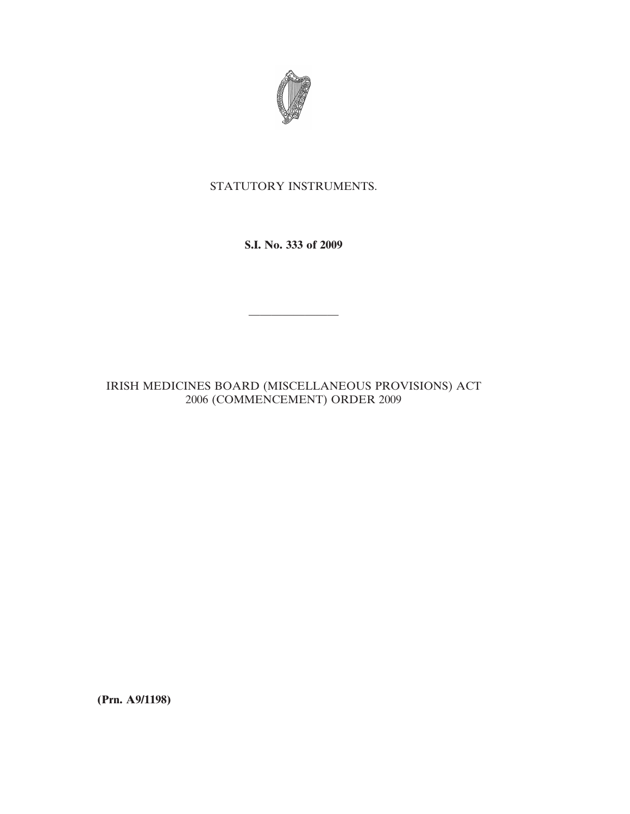

## STATUTORY INSTRUMENTS.

**S.I. No. 333 of 2009**

————————

IRISH MEDICINES BOARD (MISCELLANEOUS PROVISIONS) ACT 2006 (COMMENCEMENT) ORDER 2009

**(Prn. A9/1198)**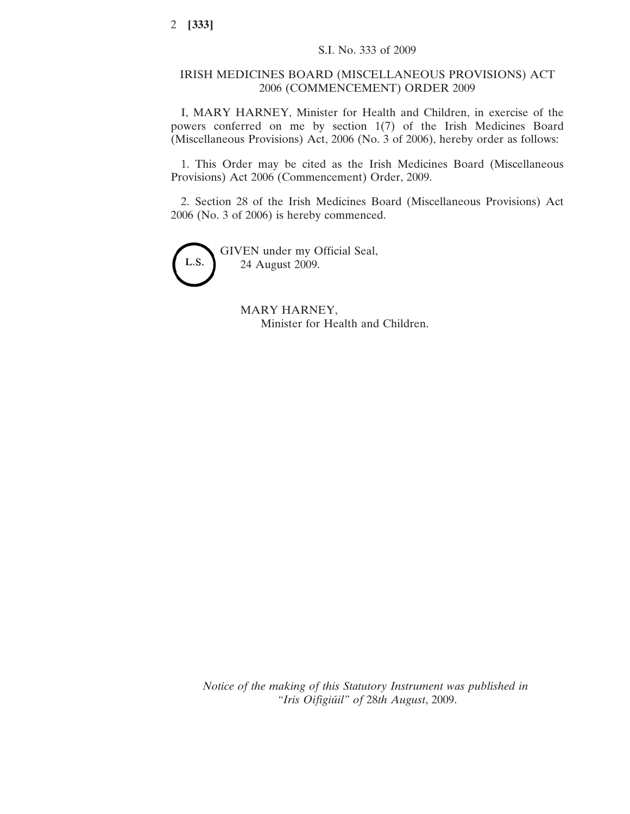## IRISH MEDICINES BOARD (MISCELLANEOUS PROVISIONS) ACT 2006 (COMMENCEMENT) ORDER 2009

I, MARY HARNEY, Minister for Health and Children, in exercise of the powers conferred on me by section 1(7) of the Irish Medicines Board (Miscellaneous Provisions) Act, 2006 (No. 3 of 2006), hereby order as follows:

1. This Order may be cited as the Irish Medicines Board (Miscellaneous Provisions) Act 2006 (Commencement) Order, 2009.

2. Section 28 of the Irish Medicines Board (Miscellaneous Provisions) Act 2006 (No. 3 of 2006) is hereby commenced.



GIVEN under my Official Seal, 24 August 2009.

> MARY HARNEY, Minister for Health and Children.

*Notice of the making of this Statutory Instrument was published in "Iris Oifigiu´il" of* 28*th August*, 2009.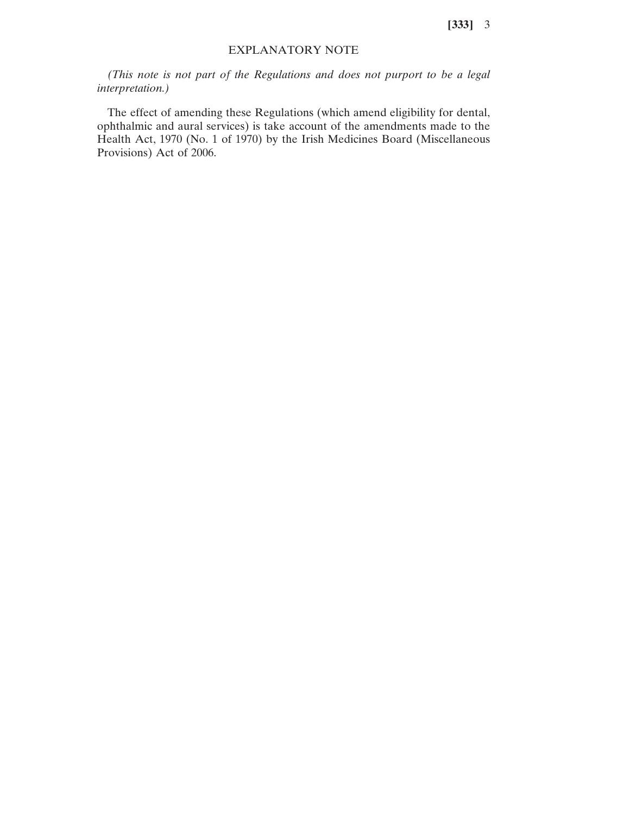**[333]** 3

## EXPLANATORY NOTE

*(This note is not part of the Regulations and does not purport to be a legal interpretation.)*

The effect of amending these Regulations (which amend eligibility for dental, ophthalmic and aural services) is take account of the amendments made to the Health Act, 1970 (No. 1 of 1970) by the Irish Medicines Board (Miscellaneous Provisions) Act of 2006.